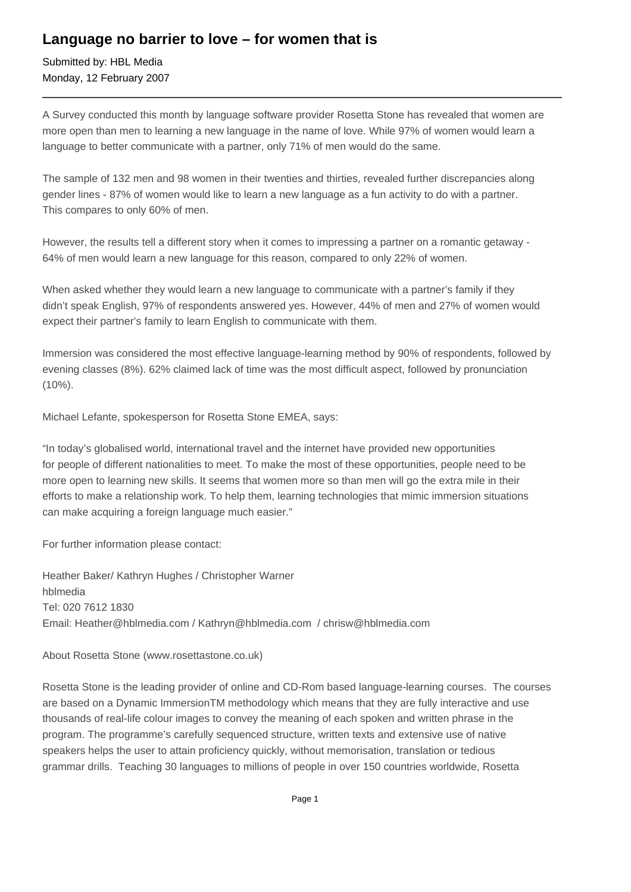## **Language no barrier to love – for women that is**

Submitted by: HBL Media Monday, 12 February 2007

A Survey conducted this month by language software provider Rosetta Stone has revealed that women are more open than men to learning a new language in the name of love. While 97% of women would learn a language to better communicate with a partner, only 71% of men would do the same.

The sample of 132 men and 98 women in their twenties and thirties, revealed further discrepancies along gender lines - 87% of women would like to learn a new language as a fun activity to do with a partner. This compares to only 60% of men.

However, the results tell a different story when it comes to impressing a partner on a romantic getaway - 64% of men would learn a new language for this reason, compared to only 22% of women.

When asked whether they would learn a new language to communicate with a partner's family if they didn't speak English, 97% of respondents answered yes. However, 44% of men and 27% of women would expect their partner's family to learn English to communicate with them.

Immersion was considered the most effective language-learning method by 90% of respondents, followed by evening classes (8%). 62% claimed lack of time was the most difficult aspect, followed by pronunciation (10%).

Michael Lefante, spokesperson for Rosetta Stone EMEA, says:

"In today's globalised world, international travel and the internet have provided new opportunities for people of different nationalities to meet. To make the most of these opportunities, people need to be more open to learning new skills. It seems that women more so than men will go the extra mile in their efforts to make a relationship work. To help them, learning technologies that mimic immersion situations can make acquiring a foreign language much easier."

For further information please contact:

Heather Baker/ Kathryn Hughes / Christopher Warner hblmedia Tel: 020 7612 1830 Email: Heather@hblmedia.com / Kathryn@hblmedia.com / chrisw@hblmedia.com

About Rosetta Stone (www.rosettastone.co.uk)

Rosetta Stone is the leading provider of online and CD-Rom based language-learning courses. The courses are based on a Dynamic ImmersionTM methodology which means that they are fully interactive and use thousands of real-life colour images to convey the meaning of each spoken and written phrase in the program. The programme's carefully sequenced structure, written texts and extensive use of native speakers helps the user to attain proficiency quickly, without memorisation, translation or tedious grammar drills. Teaching 30 languages to millions of people in over 150 countries worldwide, Rosetta